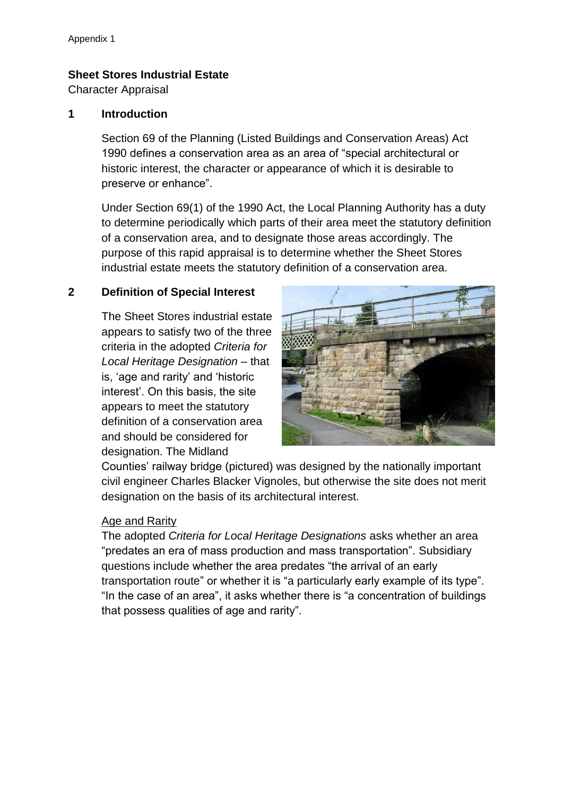# **Sheet Stores Industrial Estate**

Character Appraisal

#### **1 Introduction**

Section 69 of the Planning (Listed Buildings and Conservation Areas) Act 1990 defines a conservation area as an area of "special architectural or historic interest, the character or appearance of which it is desirable to preserve or enhance".

Under Section 69(1) of the 1990 Act, the Local Planning Authority has a duty to determine periodically which parts of their area meet the statutory definition of a conservation area, and to designate those areas accordingly. The purpose of this rapid appraisal is to determine whether the Sheet Stores industrial estate meets the statutory definition of a conservation area.

# **2 Definition of Special Interest**

The Sheet Stores industrial estate appears to satisfy two of the three criteria in the adopted *Criteria for Local Heritage Designation* – that is, 'age and rarity' and 'historic interest'. On this basis, the site appears to meet the statutory definition of a conservation area and should be considered for designation. The Midland



Counties' railway bridge (pictured) was designed by the nationally important civil engineer Charles Blacker Vignoles, but otherwise the site does not merit designation on the basis of its architectural interest.

#### Age and Rarity

The adopted *Criteria for Local Heritage Designations* asks whether an area "predates an era of mass production and mass transportation". Subsidiary questions include whether the area predates "the arrival of an early transportation route" or whether it is "a particularly early example of its type". "In the case of an area", it asks whether there is "a concentration of buildings that possess qualities of age and rarity".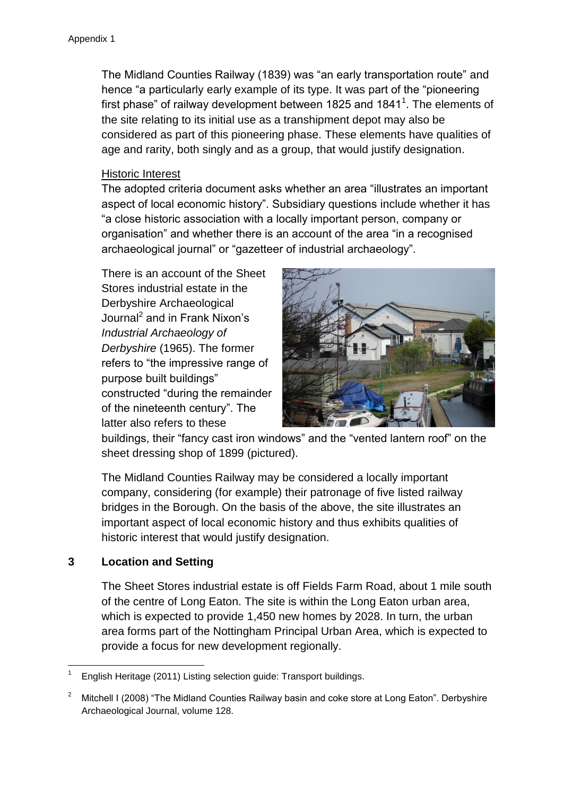The Midland Counties Railway (1839) was "an early transportation route" and hence "a particularly early example of its type. It was part of the "pioneering first phase" of railway development between 1825 and 1841<sup>1</sup>. The elements of the site relating to its initial use as a transhipment depot may also be considered as part of this pioneering phase. These elements have qualities of age and rarity, both singly and as a group, that would justify designation.

## Historic Interest

The adopted criteria document asks whether an area "illustrates an important aspect of local economic history". Subsidiary questions include whether it has "a close historic association with a locally important person, company or organisation" and whether there is an account of the area "in a recognised archaeological journal" or "gazetteer of industrial archaeology".

There is an account of the Sheet Stores industrial estate in the Derbyshire Archaeological Journal<sup>2</sup> and in Frank Nixon's *Industrial Archaeology of Derbyshire* (1965). The former refers to "the impressive range of purpose built buildings" constructed "during the remainder of the nineteenth century". The latter also refers to these



buildings, their "fancy cast iron windows" and the "vented lantern roof" on the sheet dressing shop of 1899 (pictured).

The Midland Counties Railway may be considered a locally important company, considering (for example) their patronage of five listed railway bridges in the Borough. On the basis of the above, the site illustrates an important aspect of local economic history and thus exhibits qualities of historic interest that would justify designation.

# **3 Location and Setting**

The Sheet Stores industrial estate is off Fields Farm Road, about 1 mile south of the centre of Long Eaton. The site is within the Long Eaton urban area, which is expected to provide 1,450 new homes by 2028. In turn, the urban area forms part of the Nottingham Principal Urban Area, which is expected to provide a focus for new development regionally.

<sup>1</sup> 1 English Heritage (2011) Listing selection guide: Transport buildings.

<sup>&</sup>lt;sup>2</sup> Mitchell I (2008) "The Midland Counties Railway basin and coke store at Long Eaton". Derbyshire Archaeological Journal, volume 128.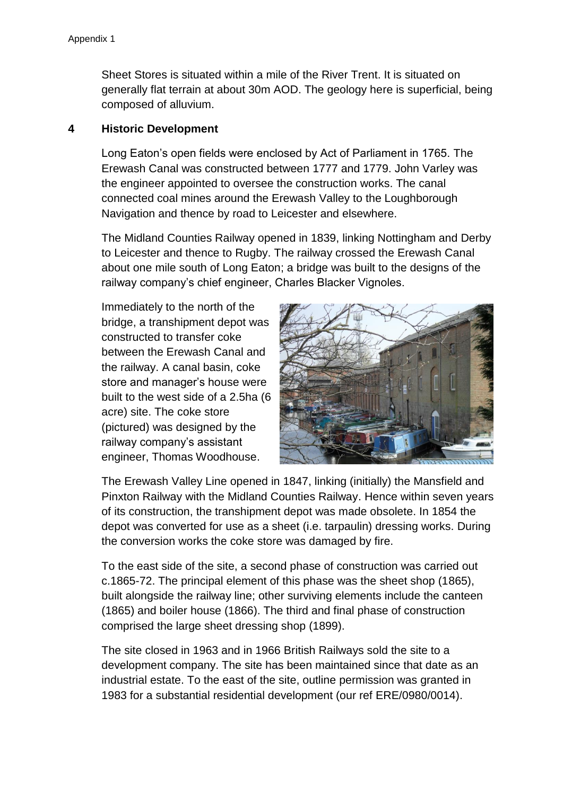Sheet Stores is situated within a mile of the River Trent. It is situated on generally flat terrain at about 30m AOD. The geology here is superficial, being composed of alluvium.

## **4 Historic Development**

Long Eaton's open fields were enclosed by Act of Parliament in 1765. The Erewash Canal was constructed between 1777 and 1779. John Varley was the engineer appointed to oversee the construction works. The canal connected coal mines around the Erewash Valley to the Loughborough Navigation and thence by road to Leicester and elsewhere.

The Midland Counties Railway opened in 1839, linking Nottingham and Derby to Leicester and thence to Rugby. The railway crossed the Erewash Canal about one mile south of Long Eaton; a bridge was built to the designs of the railway company's chief engineer, Charles Blacker Vignoles.

Immediately to the north of the bridge, a transhipment depot was constructed to transfer coke between the Erewash Canal and the railway. A canal basin, coke store and manager's house were built to the west side of a 2.5ha (6 acre) site. The coke store (pictured) was designed by the railway company's assistant engineer, Thomas Woodhouse.



The Erewash Valley Line opened in 1847, linking (initially) the Mansfield and Pinxton Railway with the Midland Counties Railway. Hence within seven years of its construction, the transhipment depot was made obsolete. In 1854 the depot was converted for use as a sheet (i.e. tarpaulin) dressing works. During the conversion works the coke store was damaged by fire.

To the east side of the site, a second phase of construction was carried out c.1865-72. The principal element of this phase was the sheet shop (1865), built alongside the railway line; other surviving elements include the canteen (1865) and boiler house (1866). The third and final phase of construction comprised the large sheet dressing shop (1899).

The site closed in 1963 and in 1966 British Railways sold the site to a development company. The site has been maintained since that date as an industrial estate. To the east of the site, outline permission was granted in 1983 for a substantial residential development (our ref ERE/0980/0014).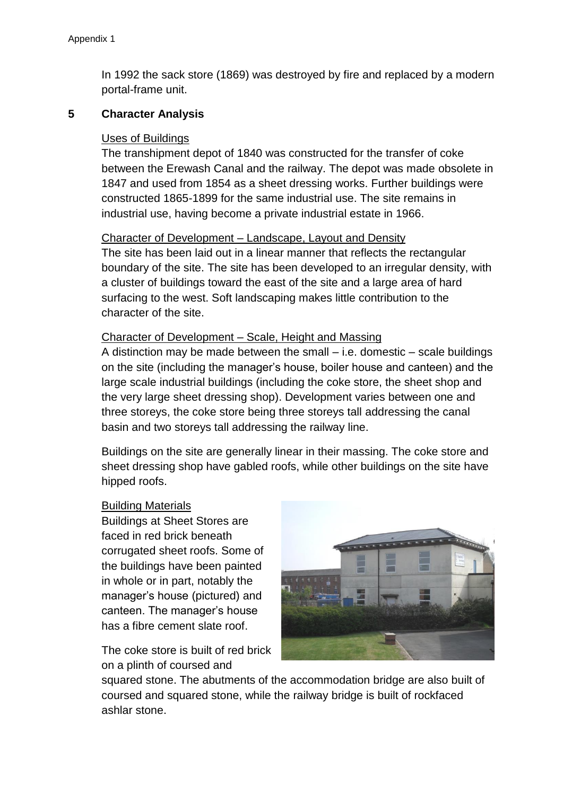In 1992 the sack store (1869) was destroyed by fire and replaced by a modern portal-frame unit.

#### **5 Character Analysis**

## Uses of Buildings

The transhipment depot of 1840 was constructed for the transfer of coke between the Erewash Canal and the railway. The depot was made obsolete in 1847 and used from 1854 as a sheet dressing works. Further buildings were constructed 1865-1899 for the same industrial use. The site remains in industrial use, having become a private industrial estate in 1966.

## Character of Development – Landscape, Layout and Density

The site has been laid out in a linear manner that reflects the rectangular boundary of the site. The site has been developed to an irregular density, with a cluster of buildings toward the east of the site and a large area of hard surfacing to the west. Soft landscaping makes little contribution to the character of the site.

## Character of Development – Scale, Height and Massing

A distinction may be made between the small  $-$  i.e. domestic  $-$  scale buildings on the site (including the manager's house, boiler house and canteen) and the large scale industrial buildings (including the coke store, the sheet shop and the very large sheet dressing shop). Development varies between one and three storeys, the coke store being three storeys tall addressing the canal basin and two storeys tall addressing the railway line.

Buildings on the site are generally linear in their massing. The coke store and sheet dressing shop have gabled roofs, while other buildings on the site have hipped roofs.

#### Building Materials

Buildings at Sheet Stores are faced in red brick beneath corrugated sheet roofs. Some of the buildings have been painted in whole or in part, notably the manager's house (pictured) and canteen. The manager's house has a fibre cement slate roof.

The coke store is built of red brick on a plinth of coursed and



squared stone. The abutments of the accommodation bridge are also built of coursed and squared stone, while the railway bridge is built of rockfaced ashlar stone.